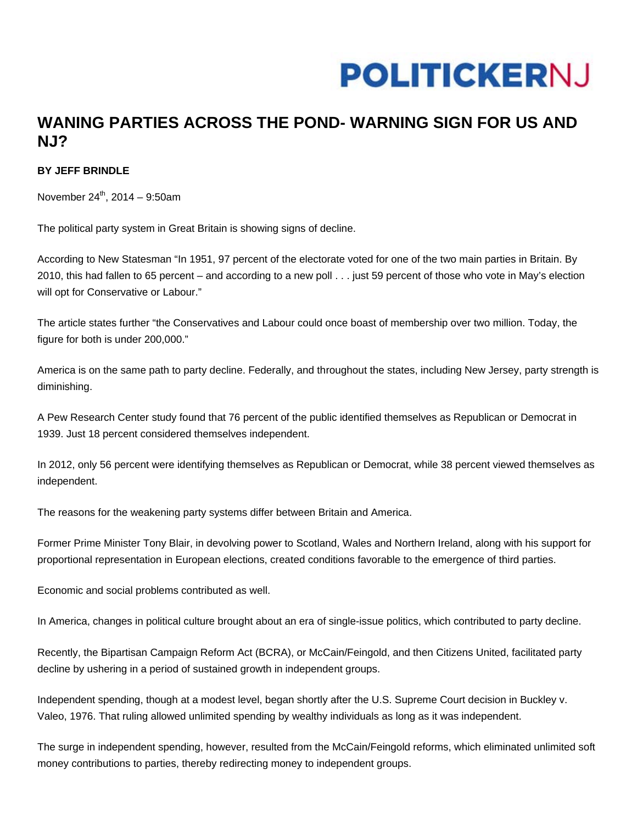## **POLITICKERNJ**

## **WANING PARTIES ACROSS THE POND- WARNING SIGN FOR US AND NJ?**

## **BY JEFF BRINDLE**

November  $24^{th}$ , 2014 – 9:50am

The political party system in Great Britain is showing signs of decline.

According to New Statesman "In 1951, 97 percent of the electorate voted for one of the two main parties in Britain. By 2010, this had fallen to 65 percent – and according to a new poll . . . just 59 percent of those who vote in May's election will opt for Conservative or Labour."

The article states further "the Conservatives and Labour could once boast of membership over two million. Today, the figure for both is under 200,000."

America is on the same path to party decline. Federally, and throughout the states, including New Jersey, party strength is diminishing.

A Pew Research Center study found that 76 percent of the public identified themselves as Republican or Democrat in 1939. Just 18 percent considered themselves independent.

In 2012, only 56 percent were identifying themselves as Republican or Democrat, while 38 percent viewed themselves as independent.

The reasons for the weakening party systems differ between Britain and America.

Former Prime Minister Tony Blair, in devolving power to Scotland, Wales and Northern Ireland, along with his support for proportional representation in European elections, created conditions favorable to the emergence of third parties.

Economic and social problems contributed as well.

In America, changes in political culture brought about an era of single-issue politics, which contributed to party decline.

Recently, the Bipartisan Campaign Reform Act (BCRA), or McCain/Feingold, and then Citizens United, facilitated party decline by ushering in a period of sustained growth in independent groups.

Independent spending, though at a modest level, began shortly after the U.S. Supreme Court decision in Buckley v. Valeo, 1976. That ruling allowed unlimited spending by wealthy individuals as long as it was independent.

The surge in independent spending, however, resulted from the McCain/Feingold reforms, which eliminated unlimited soft money contributions to parties, thereby redirecting money to independent groups.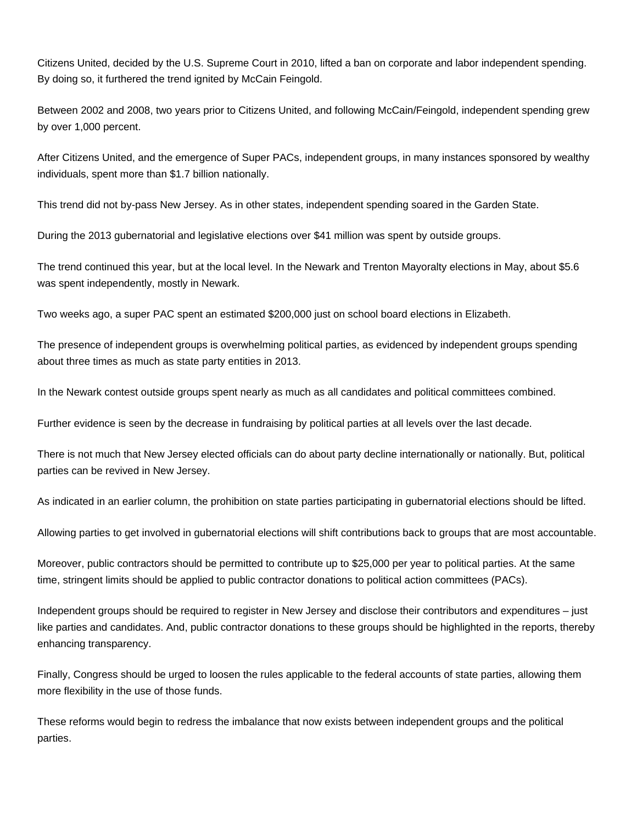Citizens United, decided by the U.S. Supreme Court in 2010, lifted a ban on corporate and labor independent spending. By doing so, it furthered the trend ignited by McCain Feingold.

Between 2002 and 2008, two years prior to Citizens United, and following McCain/Feingold, independent spending grew by over 1,000 percent.

After Citizens United, and the emergence of Super PACs, independent groups, in many instances sponsored by wealthy individuals, spent more than \$1.7 billion nationally.

This trend did not by-pass New Jersey. As in other states, independent spending soared in the Garden State.

During the 2013 gubernatorial and legislative elections over \$41 million was spent by outside groups.

The trend continued this year, but at the local level. In the Newark and Trenton Mayoralty elections in May, about \$5.6 was spent independently, mostly in Newark.

Two weeks ago, a super PAC spent an estimated \$200,000 just on school board elections in Elizabeth.

The presence of independent groups is overwhelming political parties, as evidenced by independent groups spending about three times as much as state party entities in 2013.

In the Newark contest outside groups spent nearly as much as all candidates and political committees combined.

Further evidence is seen by the decrease in fundraising by political parties at all levels over the last decade.

There is not much that New Jersey elected officials can do about party decline internationally or nationally. But, political parties can be revived in New Jersey.

As indicated in an earlier column, the prohibition on state parties participating in gubernatorial elections should be lifted.

Allowing parties to get involved in gubernatorial elections will shift contributions back to groups that are most accountable.

Moreover, public contractors should be permitted to contribute up to \$25,000 per year to political parties. At the same time, stringent limits should be applied to public contractor donations to political action committees (PACs).

Independent groups should be required to register in New Jersey and disclose their contributors and expenditures – just like parties and candidates. And, public contractor donations to these groups should be highlighted in the reports, thereby enhancing transparency.

Finally, Congress should be urged to loosen the rules applicable to the federal accounts of state parties, allowing them more flexibility in the use of those funds.

These reforms would begin to redress the imbalance that now exists between independent groups and the political parties.